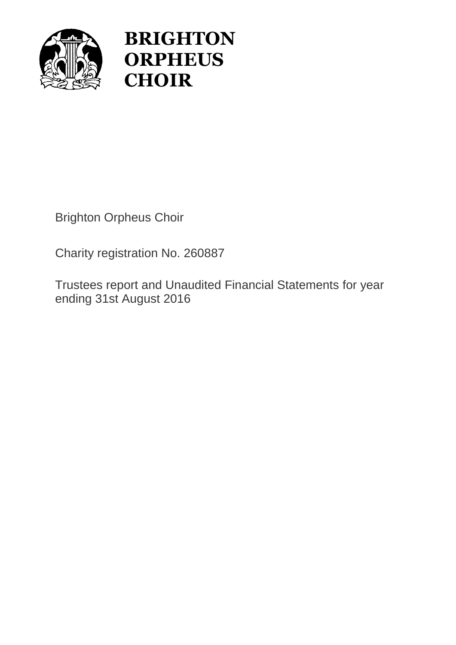

# **BRIGHTON ORPHEUS CHOIR**

Brighton Orpheus Choir

Charity registration No. 260887

Trustees report and Unaudited Financial Statements for year ending 31st August 2016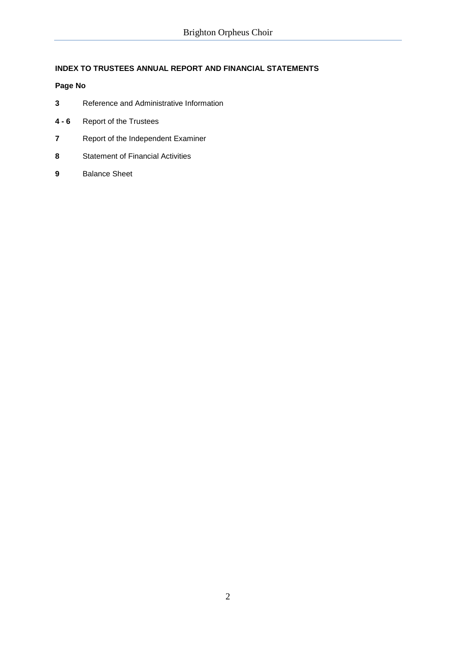# **INDEX TO TRUSTEES ANNUAL REPORT AND FINANCIAL STATEMENTS**

# **Page No**

- **3** Reference and Administrative Information
- **4 - 6** Report of the Trustees
- **7** Report of the Independent Examiner
- **8** Statement of Financial Activities
- **9** Balance Sheet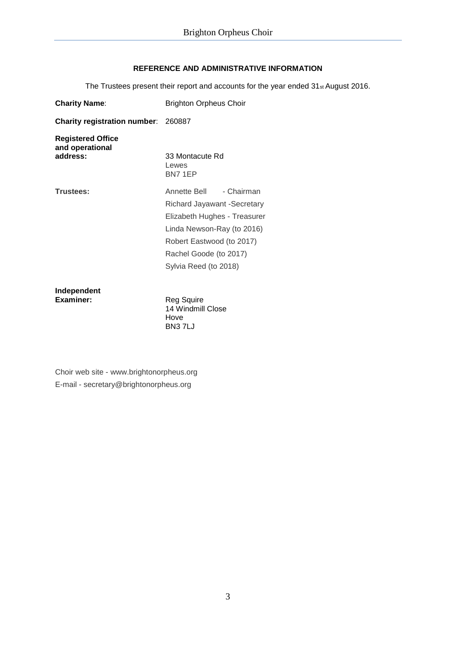# **REFERENCE AND ADMINISTRATIVE INFORMATION**

The Trustees present their report and accounts for the year ended 31st August 2016.

| <b>Charity Name:</b>                                    | <b>Brighton Orpheus Choir</b>                                                                                                                                                                           |  |  |  |
|---------------------------------------------------------|---------------------------------------------------------------------------------------------------------------------------------------------------------------------------------------------------------|--|--|--|
| <b>Charity registration number: 260887</b>              |                                                                                                                                                                                                         |  |  |  |
| <b>Registered Office</b><br>and operational<br>address: | 33 Montacute Rd<br>Lewes<br>BN7 1EP                                                                                                                                                                     |  |  |  |
| Trustees:                                               | - Chairman<br>Annette Bell<br>Richard Jayawant -Secretary<br>Elizabeth Hughes - Treasurer<br>Linda Newson-Ray (to 2016)<br>Robert Eastwood (to 2017)<br>Rachel Goode (to 2017)<br>Sylvia Reed (to 2018) |  |  |  |
| Independent<br>Examiner:                                | Reg Squire<br>4 4 1 A Unionalism Class                                                                                                                                                                  |  |  |  |

14 Windmill Close Hove BN3 7LJ

Choir web site - www.brightonorpheus.org E-mail - secretary@brightonorpheus.org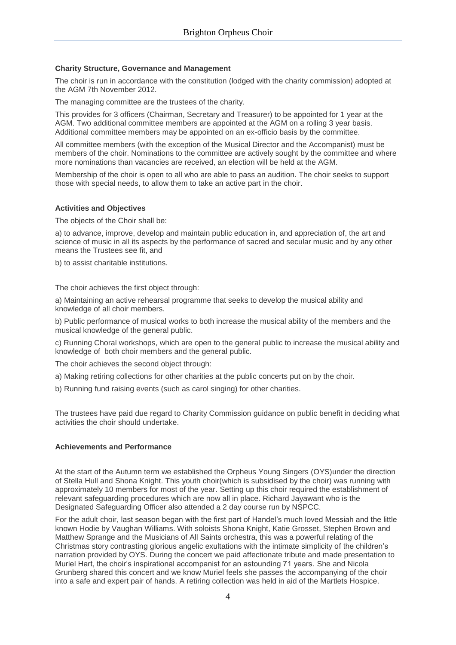# **Charity Structure, Governance and Management**

The choir is run in accordance with the constitution (lodged with the charity commission) adopted at the AGM 7th November 2012.

The managing committee are the trustees of the charity.

This provides for 3 officers (Chairman, Secretary and Treasurer) to be appointed for 1 year at the AGM. Two additional committee members are appointed at the AGM on a rolling 3 year basis. Additional committee members may be appointed on an ex-officio basis by the committee.

All committee members (with the exception of the Musical Director and the Accompanist) must be members of the choir. Nominations to the committee are actively sought by the committee and where more nominations than vacancies are received, an election will be held at the AGM.

Membership of the choir is open to all who are able to pass an audition. The choir seeks to support those with special needs, to allow them to take an active part in the choir.

# **Activities and Objectives**

The objects of the Choir shall be:

a) to advance, improve, develop and maintain public education in, and appreciation of, the art and science of music in all its aspects by the performance of sacred and secular music and by any other means the Trustees see fit, and

b) to assist charitable institutions.

The choir achieves the first object through:

a) Maintaining an active rehearsal programme that seeks to develop the musical ability and knowledge of all choir members.

b) Public performance of musical works to both increase the musical ability of the members and the musical knowledge of the general public.

c) Running Choral workshops, which are open to the general public to increase the musical ability and knowledge of both choir members and the general public.

The choir achieves the second object through:

a) Making retiring collections for other charities at the public concerts put on by the choir.

b) Running fund raising events (such as carol singing) for other charities.

The trustees have paid due regard to Charity Commission guidance on public benefit in deciding what activities the choir should undertake.

# **Achievements and Performance**

At the start of the Autumn term we established the Orpheus Young Singers (OYS)under the direction of Stella Hull and Shona Knight. This youth choir(which is subsidised by the choir) was running with approximately 10 members for most of the year. Setting up this choir required the establishment of relevant safeguarding procedures which are now all in place. Richard Jayawant who is the Designated Safeguarding Officer also attended a 2 day course run by NSPCC.

For the adult choir, last season began with the first part of Handel's much loved Messiah and the little known Hodie by Vaughan Williams. With soloists Shona Knight, Katie Grosset, Stephen Brown and Matthew Sprange and the Musicians of All Saints orchestra, this was a powerful relating of the Christmas story contrasting glorious angelic exultations with the intimate simplicity of the children's narration provided by OYS. During the concert we paid affectionate tribute and made presentation to Muriel Hart, the choir's inspirational accompanist for an astounding 71 years. She and Nicola Grunberg shared this concert and we know Muriel feels she passes the accompanying of the choir into a safe and expert pair of hands. A retiring collection was held in aid of the Martlets Hospice.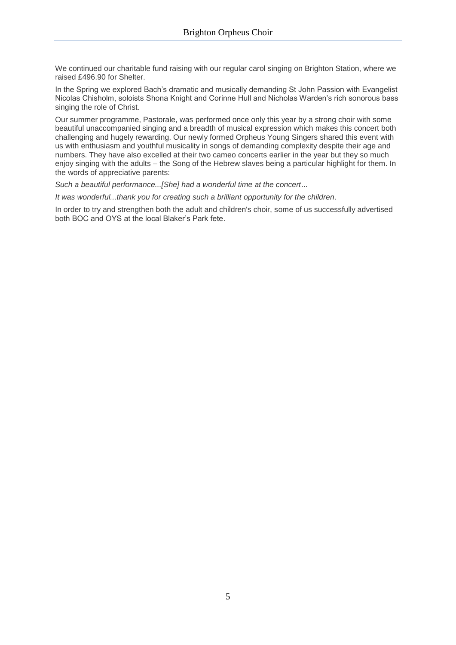We continued our charitable fund raising with our regular carol singing on Brighton Station, where we raised £496.90 for Shelter.

In the Spring we explored Bach's dramatic and musically demanding St John Passion with Evangelist Nicolas Chisholm, soloists Shona Knight and Corinne Hull and Nicholas Warden's rich sonorous bass singing the role of Christ.

Our summer programme, Pastorale, was performed once only this year by a strong choir with some beautiful unaccompanied singing and a breadth of musical expression which makes this concert both challenging and hugely rewarding. Our newly formed Orpheus Young Singers shared this event with us with enthusiasm and youthful musicality in songs of demanding complexity despite their age and numbers. They have also excelled at their two cameo concerts earlier in the year but they so much enjoy singing with the adults – the Song of the Hebrew slaves being a particular highlight for them. In the words of appreciative parents:

*Such a beautiful performance...[She] had a wonderful time at the concert*...

*It was wonderful...thank you for creating such a brilliant opportunity for the children*.

In order to try and strengthen both the adult and children's choir, some of us successfully advertised both BOC and OYS at the local Blaker's Park fete.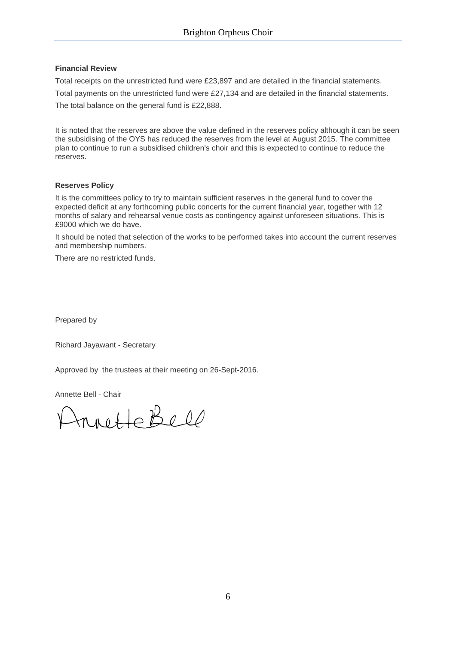# **Financial Review**

Total receipts on the unrestricted fund were £23,897 and are detailed in the financial statements.

Total payments on the unrestricted fund were £27,134 and are detailed in the financial statements. The total balance on the general fund is £22,888.

It is noted that the reserves are above the value defined in the reserves policy although it can be seen the subsidising of the OYS has reduced the reserves from the level at August 2015. The committee plan to continue to run a subsidised children's choir and this is expected to continue to reduce the reserves.

# **Reserves Policy**

It is the committees policy to try to maintain sufficient reserves in the general fund to cover the expected deficit at any forthcoming public concerts for the current financial year, together with 12 months of salary and rehearsal venue costs as contingency against unforeseen situations. This is £9000 which we do have.

It should be noted that selection of the works to be performed takes into account the current reserves and membership numbers.

There are no restricted funds.

Prepared by

Richard Jayawant - Secretary

Approved by the trustees at their meeting on 26-Sept-2016.

Annette Bell - Chair

rnette Bell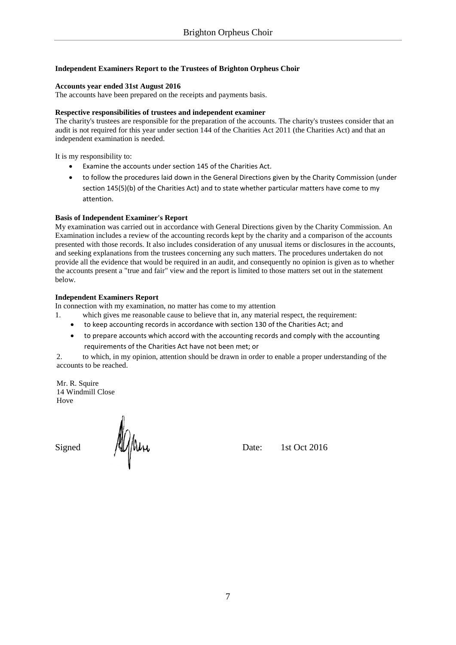# **Independent Examiners Report to the Trustees of Brighton Orpheus Choir**

# **Accounts year ended 31st August 2016**

The accounts have been prepared on the receipts and payments basis.

# **Respective responsibilities of trustees and independent examiner**

The charity's trustees are responsible for the preparation of the accounts. The charity's trustees consider that an audit is not required for this year under section 144 of the Charities Act 2011 (the Charities Act) and that an independent examination is needed.

It is my responsibility to:

- Examine the accounts under section 145 of the Charities Act.
- to follow the procedures laid down in the General Directions given by the Charity Commission (under section 145(5)(b) of the Charities Act) and to state whether particular matters have come to my attention.

# **Basis of Independent Examiner's Report**

My examination was carried out in accordance with General Directions given by the Charity Commission. An Examination includes a review of the accounting records kept by the charity and a comparison of the accounts presented with those records. It also includes consideration of any unusual items or disclosures in the accounts, and seeking explanations from the trustees concerning any such matters. The procedures undertaken do not provide all the evidence that would be required in an audit, and consequently no opinion is given as to whether the accounts present a "true and fair" view and the report is limited to those matters set out in the statement below.

# **Independent Examiners Report**

In connection with my examination, no matter has come to my attention

- 1. which gives me reasonable cause to believe that in, any material respect, the requirement:
	- to keep accounting records in accordance with section 130 of the Charities Act; and
	- to prepare accounts which accord with the accounting records and comply with the accounting requirements of the Charities Act have not been met; or

2. to which, in my opinion, attention should be drawn in order to enable a proper understanding of the accounts to be reached.

Mr. R. Squire 14 Windmill Close Hove

Signed  $M_{\text{M}}$  Date: 1st Oct 2016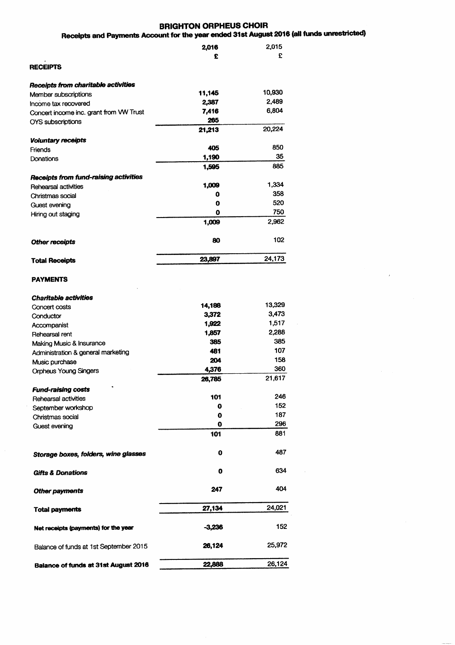# **BRIGHTON ORPHEUS CHOIR**

# Receipts and Payments Account for the year ended 31st August 2016 (all funds unrestricted)

|                                              | 2,016         | 2,015  |
|----------------------------------------------|---------------|--------|
|                                              | £             | £      |
| <b>RECEIPTS</b>                              |               |        |
| Receipts from charitable activities          |               |        |
| Member subscriptions                         | 11,145        | 10,930 |
| Income tax recovered                         | 2,387         | 2,489  |
| Concert income inc. grant from VW Trust      | 7,416         | 6,804  |
| <b>OYS</b> subscriptions                     | 265<br>21,213 | 20,224 |
| <b>Voluntary receipts</b>                    |               |        |
| Friends                                      | 405           | 850    |
| Donations                                    | 1,190         | 35     |
|                                              | 1,595         | 885    |
| <b>Receipts from fund-raising activities</b> |               |        |
| <b>Rehearsal activities</b>                  | 1,009         | 1,334  |
| Christmas social                             | 0             | 358    |
| Guest evening                                | O             | 520    |
| Hiring out staging                           | 0             | 750    |
|                                              | 1,009         | 2,962  |
| <b>Other receipts</b>                        | 80            | 102    |
| <b>Total Receipts</b>                        | 23,897        | 24,173 |
| <b>PAYMENTS</b>                              |               |        |
| <b>Charitable activities</b>                 |               |        |
| Concert costs                                | 14,188        | 13,329 |
| Conductor                                    | 3,372         | 3,473  |
| Accompanist                                  | 1,922         | 1,517  |
| Rehearsal rent                               | 1,857         | 2,288  |
| Making Music & Insurance                     | 385           | 385    |
| Administration & general marketing           | 481           | 107    |
| Music purchase                               | 204           | 158    |
| <b>Orpheus Young Singers</b>                 | 4,376         | 360    |
|                                              | 26,785        | 21,617 |
| <b>Fund-raising costs</b>                    |               |        |
| Rehearsal activities                         | 101           | 246    |
| September workshop                           | 0             | 152    |
| Christmas social                             | 0             | 187    |
| Guest evening                                | 0             | 296    |
|                                              | 101           | 881    |
| Storage boxes, folders, wine glasses         | o             | 487    |
| <b>Gifts &amp; Donations</b>                 | 0             | 634    |
| <b>Other payments</b>                        | 247           | 404    |
| <b>Total payments</b>                        | 27,134        | 24,021 |
| Net receipts (payments) for the year         | -3.236        | 152    |
| Balance of funds at 1st September 2015       | 26,124        | 25,972 |
| <b>Balance of funds at 31st August 2016</b>  | 22,888        | 26,124 |